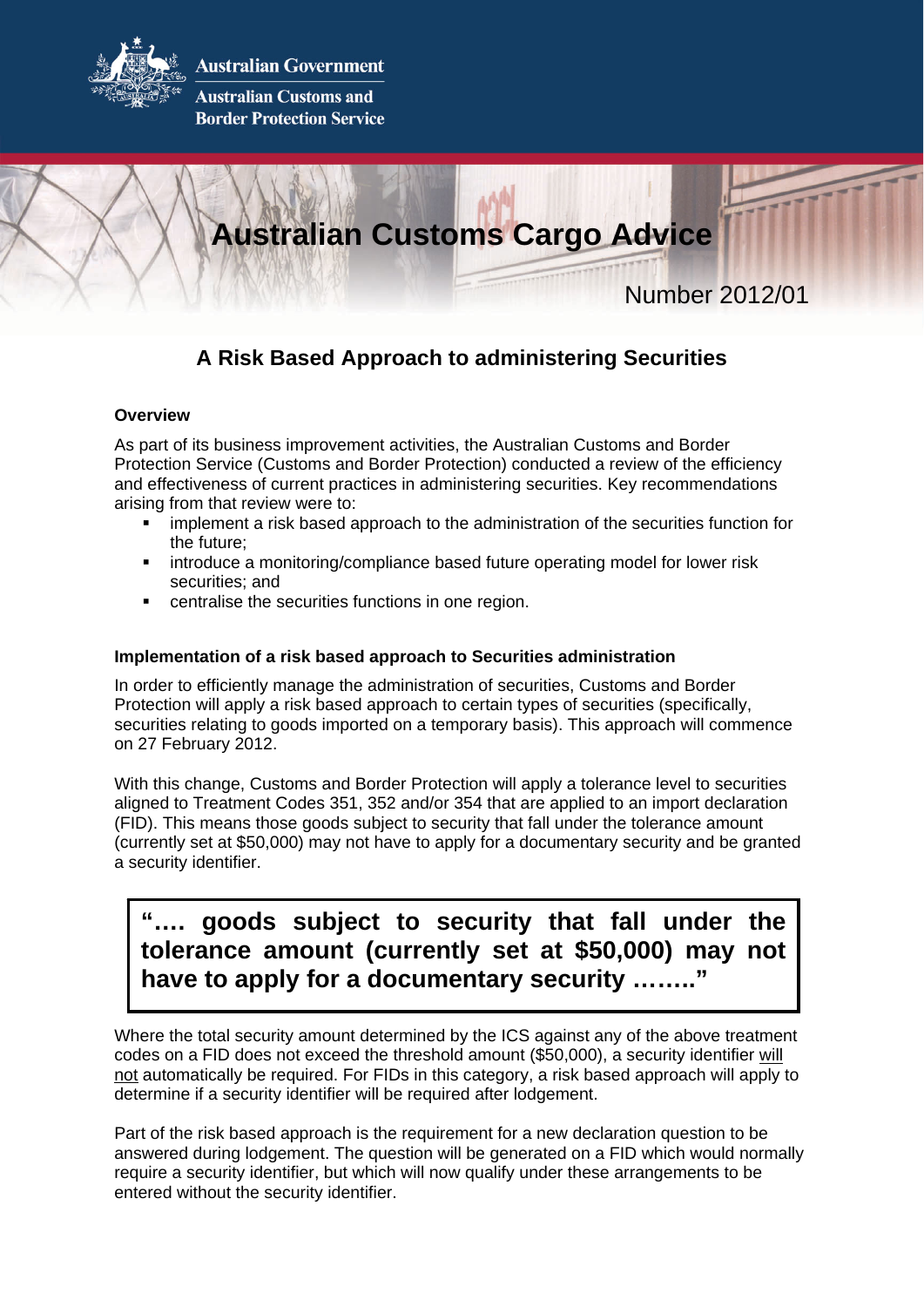

**Australian Government** 

**Australian Customs and Border Protection Service** 



## **A Risk Based Approach to administering Securities**

## **Overview**

As part of its business improvement activities, the Australian Customs and Border Protection Service (Customs and Border Protection) conducted a review of the efficiency and effectiveness of current practices in administering securities. Key recommendations arising from that review were to:

- **EXED** implement a risk based approach to the administration of the securities function for the future;
- introduce a monitoring/compliance based future operating model for lower risk securities; and
- centralise the securities functions in one region.

## **Implementation of a risk based approach to Securities administration**

In order to efficiently manage the administration of securities, Customs and Border Protection will apply a risk based approach to certain types of securities (specifically, securities relating to goods imported on a temporary basis). This approach will commence on 27 February 2012.

With this change, Customs and Border Protection will apply a tolerance level to securities aligned to Treatment Codes 351, 352 and/or 354 that are applied to an import declaration (FID). This means those goods subject to security that fall under the tolerance amount (currently set at \$50,000) may not have to apply for a documentary security and be granted a security identifier.

# **"…. goods subject to security that fall under the tolerance amount (currently set at \$50,000) may not have to apply for a documentary security …….."**

Where the total security amount determined by the ICS against any of the above treatment codes on a FID does not exceed the threshold amount (\$50,000), a security identifier will not automatically be required. For FIDs in this category, a risk based approach will apply to determine if a security identifier will be required after lodgement.

Part of the risk based approach is the requirement for a new declaration question to be answered during lodgement. The question will be generated on a FID which would normally require a security identifier, but which will now qualify under these arrangements to be entered without the security identifier.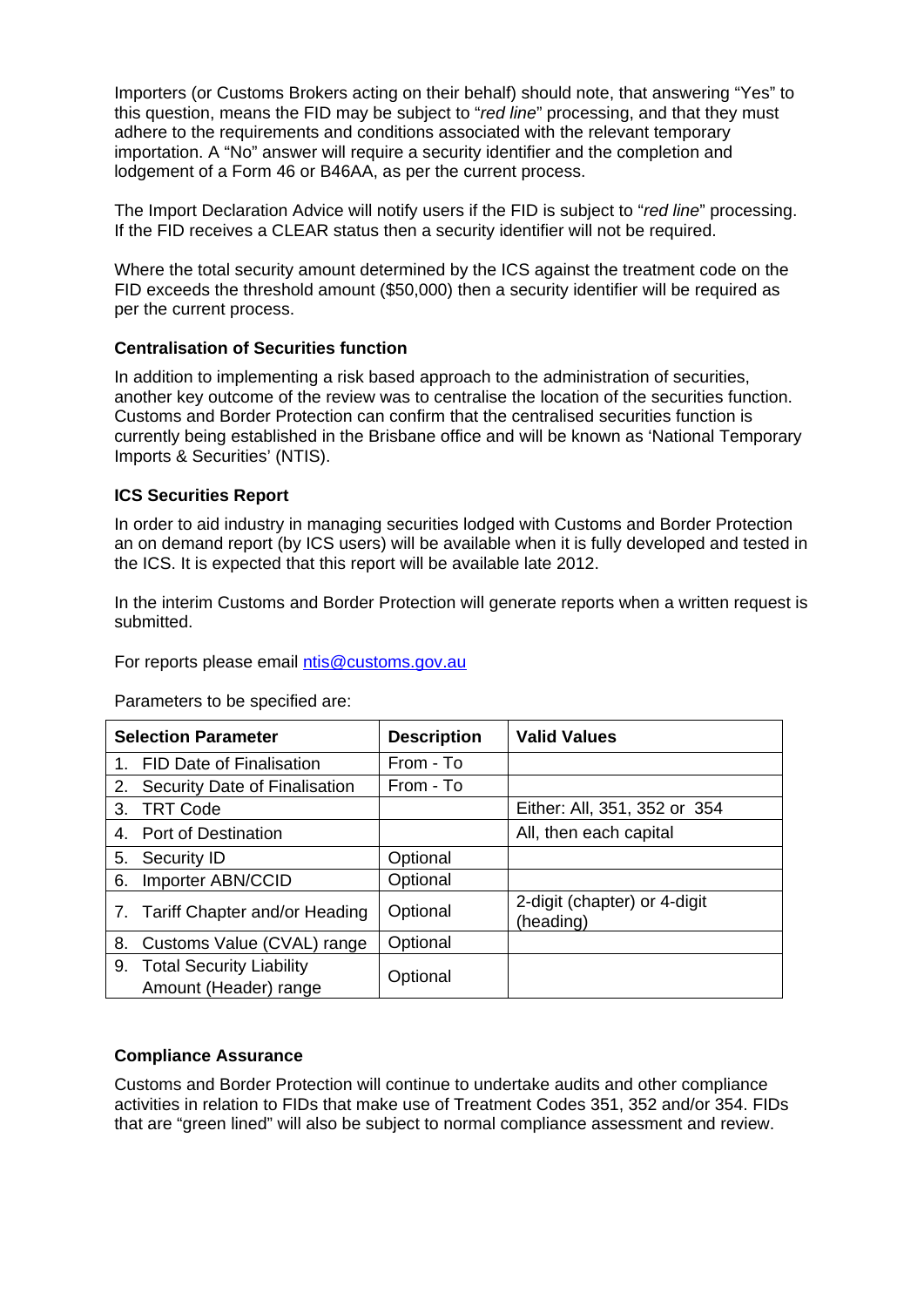Importers (or Customs Brokers acting on their behalf) should note, that answering "Yes" to this question, means the FID may be subject to "*red line*" processing, and that they must adhere to the requirements and conditions associated with the relevant temporary importation. A "No" answer will require a security identifier and the completion and lodgement of a Form 46 or B46AA, as per the current process.

The Import Declaration Advice will notify users if the FID is subject to "*red line*" processing. If the FID receives a CLEAR status then a security identifier will not be required.

Where the total security amount determined by the ICS against the treatment code on the FID exceeds the threshold amount (\$50,000) then a security identifier will be required as per the current process.

## **Centralisation of Securities function**

In addition to implementing a risk based approach to the administration of securities, another key outcome of the review was to centralise the location of the securities function. Customs and Border Protection can confirm that the centralised securities function is currently being established in the Brisbane office and will be known as 'National Temporary Imports & Securities' (NTIS).

## **ICS Securities Report**

In order to aid industry in managing securities lodged with Customs and Border Protection an on demand report (by ICS users) will be available when it is fully developed and tested in the ICS. It is expected that this report will be available late 2012.

In the interim Customs and Border Protection will generate reports when a written request is submitted.

For reports please email [ntis@customs.gov.au](mailto:ntis@customs.gov.au)

Parameters to be specified are:

| <b>Selection Parameter</b> |                                                          | <b>Description</b> | <b>Valid Values</b>                       |
|----------------------------|----------------------------------------------------------|--------------------|-------------------------------------------|
| 1.                         | <b>FID Date of Finalisation</b>                          | From - To          |                                           |
| 2.                         | Security Date of Finalisation                            | From - To          |                                           |
| 3.                         | <b>TRT Code</b>                                          |                    | Either: All, 351, 352 or 354              |
|                            | 4. Port of Destination                                   |                    | All, then each capital                    |
| 5.                         | Security ID                                              | Optional           |                                           |
| 6.                         | Importer ABN/CCID                                        | Optional           |                                           |
|                            | 7. Tariff Chapter and/or Heading                         | Optional           | 2-digit (chapter) or 4-digit<br>(heading) |
| 8.                         | Customs Value (CVAL) range                               | Optional           |                                           |
| 9.                         | <b>Total Security Liability</b><br>Amount (Header) range | Optional           |                                           |

## **Compliance Assurance**

Customs and Border Protection will continue to undertake audits and other compliance activities in relation to FIDs that make use of Treatment Codes 351, 352 and/or 354. FIDs that are "green lined" will also be subject to normal compliance assessment and review.